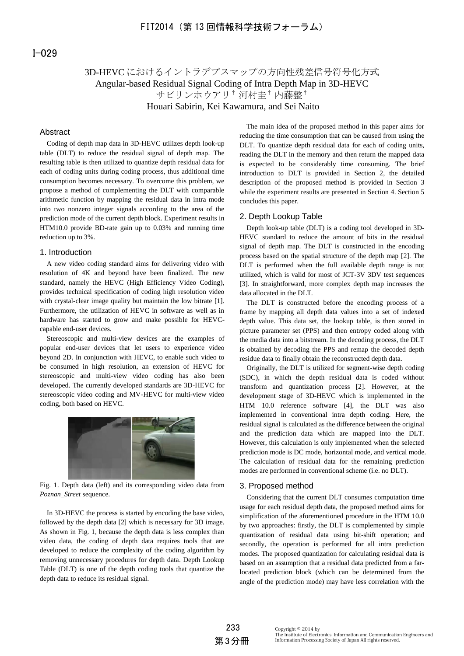# I-029

# 3D-HEVC におけるイントラデプスマップの方向性残差信号符号化方式 Angular-based Residual Signal Coding of Intra Depth Map in 3D-HEVC サビリンホウアリ† 河村圭† 内藤整† Houari Sabirin, Kei Kawamura, and Sei Naito

## Abstract

Coding of depth map data in 3D-HEVC utilizes depth look-up table (DLT) to reduce the residual signal of depth map. The resulting table is then utilized to quantize depth residual data for each of coding units during coding process, thus additional time consumption becomes necessary. To overcome this problem, we propose a method of complementing the DLT with comparable arithmetic function by mapping the residual data in intra mode into two nonzero integer signals according to the area of the prediction mode of the current depth block. Experiment results in HTM10.0 provide BD-rate gain up to 0.03% and running time reduction up to 3%.

## 1. Introduction

A new video coding standard aims for delivering video with resolution of 4K and beyond have been finalized. The new standard, namely the HEVC (High Efficiency Video Coding), provides technical specification of coding high resolution video with crystal-clear image quality but maintain the low bitrate [1]. Furthermore, the utilization of HEVC in software as well as in hardware has started to grow and make possible for HEVCcapable end-user devices.

Stereoscopic and multi-view devices are the examples of popular end-user devices that let users to experience video beyond 2D. In conjunction with HEVC, to enable such video to be consumed in high resolution, an extension of HEVC for stereoscopic and multi-view video coding has also been developed. The currently developed standards are 3D-HEVC for stereoscopic video coding and MV-HEVC for multi-view video coding, both based on HEVC.



Fig. 1. Depth data (left) and its corresponding video data from *Poznan\_Street* sequence.

In 3D-HEVC the process is started by encoding the base video, followed by the depth data [2] which is necessary for 3D image. As shown in Fig. 1, because the depth data is less complex than video data, the coding of depth data requires tools that are developed to reduce the complexity of the coding algorithm by removing unnecessary procedures for depth data. Depth Lookup Table (DLT) is one of the depth coding tools that quantize the depth data to reduce its residual signal.

The main idea of the proposed method in this paper aims for reducing the time consumption that can be caused from using the DLT. To quantize depth residual data for each of coding units, reading the DLT in the memory and then return the mapped data is expected to be considerably time consuming. The brief introduction to DLT is provided in Section 2, the detailed description of the proposed method is provided in Section 3 while the experiment results are presented in Section 4. Section 5 concludes this paper.

## 2. Depth Lookup Table

Depth look-up table (DLT) is a coding tool developed in 3D-HEVC standard to reduce the amount of bits in the residual signal of depth map. The DLT is constructed in the encoding process based on the spatial structure of the depth map [2]. The DLT is performed when the full available depth range is not utilized, which is valid for most of JCT-3V 3DV test sequences [3]. In straightforward, more complex depth map increases the data allocated in the DLT.

The DLT is constructed before the encoding process of a frame by mapping all depth data values into a set of indexed depth value. This data set, the lookup table, is then stored in picture parameter set (PPS) and then entropy coded along with the media data into a bitstream. In the decoding process, the DLT is obtained by decoding the PPS and remap the decoded depth residue data to finally obtain the reconstructed depth data.

Originally, the DLT is utilized for segment-wise depth coding (SDC), in which the depth residual data is coded without transform and quantization process [2]. However, at the development stage of 3D-HEVC which is implemented in the HTM 10.0 reference software [4], the DLT was also implemented in conventional intra depth coding. Here, the residual signal is calculated as the difference between the original and the prediction data which are mapped into the DLT. However, this calculation is only implemented when the selected prediction mode is DC mode, horizontal mode, and vertical mode. The calculation of residual data for the remaining prediction modes are performed in conventional scheme (i.e. no DLT).

#### 3. Proposed method

Considering that the current DLT consumes computation time usage for each residual depth data, the proposed method aims for simplification of the aforementioned procedure in the HTM 10.0 by two approaches: firstly, the DLT is complemented by simple quantization of residual data using bit-shift operation; and secondly, the operation is performed for all intra prediction modes. The proposed quantization for calculating residual data is based on an assumption that a residual data predicted from a farlocated prediction block (which can be determined from the angle of the prediction mode) may have less correlation with the